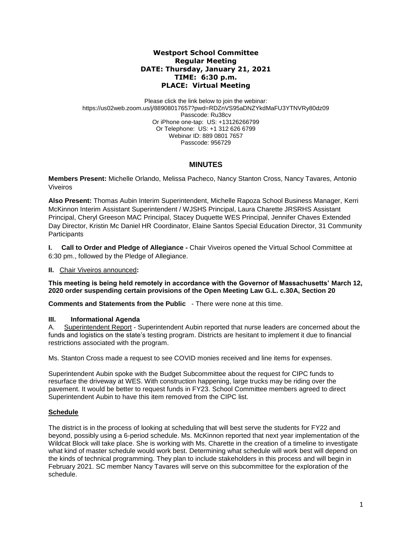## **Westport School Committee Regular Meeting DATE: Thursday, January 21, 2021 TIME: 6:30 p.m. PLACE: Virtual Meeting**

Please click the link below to join the webinar: https://us02web.zoom.us/j/88908017657?pwd=RDZnVS95aDNZYkdMaFU3YTNVRy80dz09 Passcode: Ru38cv Or iPhone one-tap: US: +13126266799 Or Telephone: US: +1 312 626 6799 Webinar ID: 889 0801 7657 Passcode: 956729

# **MINUTES**

**Members Present:** Michelle Orlando, Melissa Pacheco, Nancy Stanton Cross, Nancy Tavares*,* Antonio Viveiros

**Also Present:** Thomas Aubin Interim Superintendent, Michelle Rapoza School Business Manager, Kerri McKinnon Interim Assistant Superintendent / WJSHS Principal, Laura Charette JRSRHS Assistant Principal, Cheryl Greeson MAC Principal, Stacey Duquette WES Principal, Jennifer Chaves Extended Day Director, Kristin Mc Daniel HR Coordinator, Elaine Santos Special Education Director, 31 Community **Participants** 

**I. Call to Order and Pledge of Allegiance -** Chair Viveiros opened the Virtual School Committee at 6:30 pm., followed by the Pledge of Allegiance.

## **II.** Chair Viveiros announced**:**

**This meeting is being held remotely in accordance with the Governor of Massachusetts' March 12, 2020 order suspending certain provisions of the Open Meeting Law G.L. c.30A, Section 20**

**Comments and Statements from the Public** - There were none at this time.

## **III. Informational Agenda**

A. Superintendent Report - Superintendent Aubin reported that nurse leaders are concerned about the funds and logistics on the state's testing program. Districts are hesitant to implement it due to financial restrictions associated with the program.

Ms. Stanton Cross made a request to see COVID monies received and line items for expenses.

Superintendent Aubin spoke with the Budget Subcommittee about the request for CIPC funds to resurface the driveway at WES. With construction happening, large trucks may be riding over the pavement. It would be better to request funds in FY23. School Committee members agreed to direct Superintendent Aubin to have this item removed from the CIPC list.

## **Schedule**

The district is in the process of looking at scheduling that will best serve the students for FY22 and beyond, possibly using a 6-period schedule. Ms. McKinnon reported that next year implementation of the Wildcat Block will take place. She is working with Ms. Charette in the creation of a timeline to investigate what kind of master schedule would work best. Determining what schedule will work best will depend on the kinds of technical programming. They plan to include stakeholders in this process and will begin in February 2021. SC member Nancy Tavares will serve on this subcommittee for the exploration of the schedule.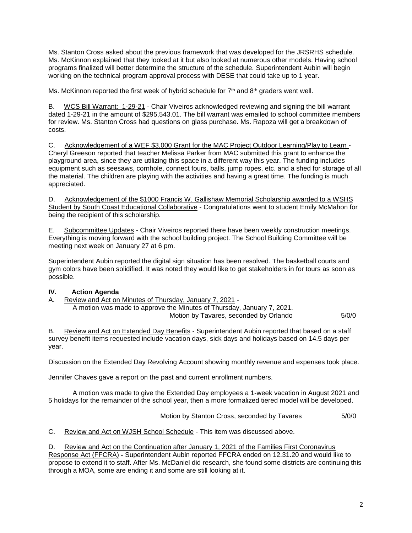Ms. Stanton Cross asked about the previous framework that was developed for the JRSRHS schedule. Ms. McKinnon explained that they looked at it but also looked at numerous other models. Having school programs finalized will better determine the structure of the schedule. Superintendent Aubin will begin working on the technical program approval process with DESE that could take up to 1 year.

Ms. McKinnon reported the first week of hybrid schedule for  $7<sup>th</sup>$  and  $8<sup>th</sup>$  graders went well.

B. WCS Bill Warrant: 1-29-21 - Chair Viveiros acknowledged reviewing and signing the bill warrant dated 1-29-21 in the amount of \$295,543.01. The bill warrant was emailed to school committee members for review. Ms. Stanton Cross had questions on glass purchase. Ms. Rapoza will get a breakdown of costs.

C. Acknowledgement of a WEF \$3,000 Grant for the MAC Project Outdoor Learning/Play to Learn - Cheryl Greeson reported that teacher Melissa Parker from MAC submitted this grant to enhance the playground area, since they are utilizing this space in a different way this year. The funding includes equipment such as seesaws, cornhole, connect fours, balls, jump ropes, etc. and a shed for storage of all the material. The children are playing with the activities and having a great time. The funding is much appreciated.

D. Acknowledgement of the \$1000 Francis W. Gallishaw Memorial Scholarship awarded to a WSHS Student by South Coast Educational Collaborative - Congratulations went to student Emily McMahon for being the recipient of this scholarship.

E. Subcommittee Updates - Chair Viveiros reported there have been weekly construction meetings. Everything is moving forward with the school building project. The School Building Committee will be meeting next week on January 27 at 6 pm.

Superintendent Aubin reported the digital sign situation has been resolved. The basketball courts and gym colors have been solidified. It was noted they would like to get stakeholders in for tours as soon as possible.

# **IV. Action Agenda**

A. Review and Act on Minutes of Thursday, January 7, 2021 - A motion was made to approve the Minutes of Thursday, January 7, 2021. Motion by Tavares, seconded by Orlando 5/0/0

B. Review and Act on Extended Day Benefits - Superintendent Aubin reported that based on a staff survey benefit items requested include vacation days, sick days and holidays based on 14.5 days per year.

Discussion on the Extended Day Revolving Account showing monthly revenue and expenses took place.

Jennifer Chaves gave a report on the past and current enrollment numbers.

A motion was made to give the Extended Day employees a 1-week vacation in August 2021 and 5 holidays for the remainder of the school year, then a more formalized tiered model will be developed.

Motion by Stanton Cross, seconded by Tavares 5/0/0

C. Review and Act on WJSH School Schedule - This item was discussed above.

D. Review and Act on the Continuation after January 1, 2021 of the Families First Coronavirus

Response Act (FFCRA) **-** Superintendent Aubin reported FFCRA ended on 12.31.20 and would like to propose to extend it to staff. After Ms. McDaniel did research, she found some districts are continuing this through a MOA, some are ending it and some are still looking at it.